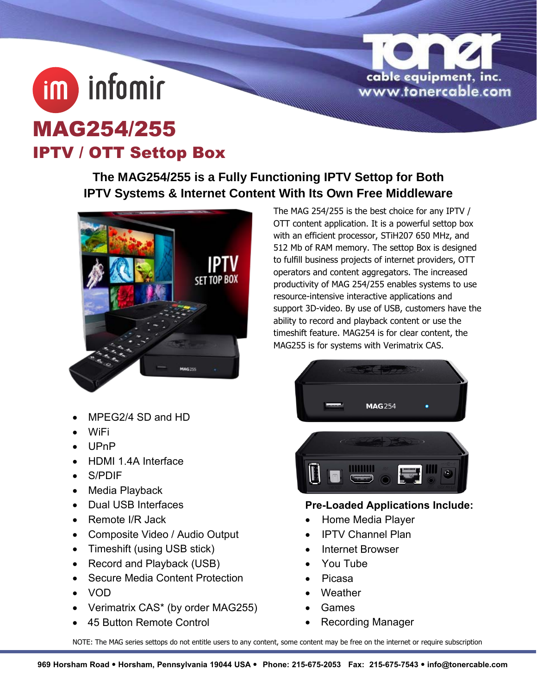

## MAG254/255 IPTV / OTT Settop Box

**im** infomir

**The MAG254/255 is a Fully Functioning IPTV Settop for Both IPTV Systems & Internet Content With Its Own Free Middleware**



- MPEG2/4 SD and HD
- WiFi
- UPnP
- HDMI 1.4A Interface
- S/PDIF
- Media Playback
- Dual USB Interfaces
- Remote I/R Jack
- Composite Video / Audio Output
- Timeshift (using USB stick)
- Record and Playback (USB)
- Secure Media Content Protection
- VOD
- Verimatrix CAS\* (by order MAG255)
- 45 Button Remote Control

The MAG 254/255 is the best choice for any IPTV / OTT content application. It is a powerful settop box with an efficient processor, STiH207 650 MHz, and 512 Mb of RAM memory. The settop Box is designed to fulfill business projects of internet providers, OTT operators and content aggregators. The increased productivity of MAG 254/255 enables systems to use resource-intensive interactive applications and support 3D-video. By use of USB, customers have the ability to record and playback content or use the timeshift feature. MAG254 is for clear content, the MAG255 is for systems with Verimatrix CAS.



## **Pre-Loaded Applications Include:**

- Home Media Player
- IPTV Channel Plan
- Internet Browser
- You Tube
- Picasa
- Weather
- Games
- Recording Manager

NOTE: The MAG series settops do not entitle users to any content, some content may be free on the internet or require subscription